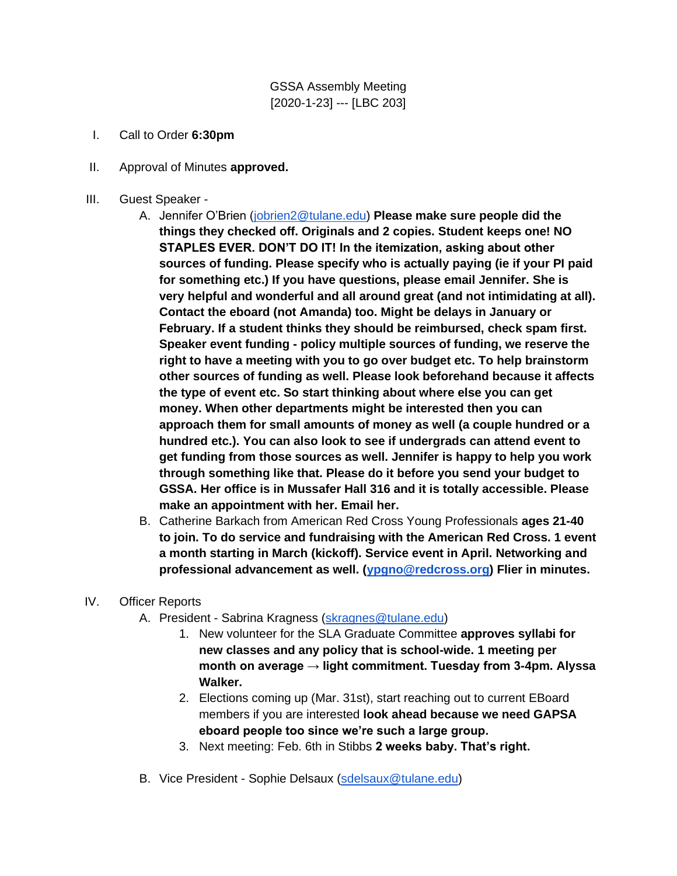GSSA Assembly Meeting [2020-1-23] --- [LBC 203]

- I. Call to Order **6:30pm**
- II. Approval of Minutes **approved.**
- III. Guest Speaker
	- A. Jennifer O'Brien [\(jobrien2@tulane.edu\)](mailto:jobrien2@tulane.edu) **Please make sure people did the things they checked off. Originals and 2 copies. Student keeps one! NO STAPLES EVER. DON'T DO IT! In the itemization, asking about other sources of funding. Please specify who is actually paying (ie if your PI paid for something etc.) If you have questions, please email Jennifer. She is very helpful and wonderful and all around great (and not intimidating at all). Contact the eboard (not Amanda) too. Might be delays in January or February. If a student thinks they should be reimbursed, check spam first. Speaker event funding - policy multiple sources of funding, we reserve the right to have a meeting with you to go over budget etc. To help brainstorm other sources of funding as well. Please look beforehand because it affects the type of event etc. So start thinking about where else you can get money. When other departments might be interested then you can approach them for small amounts of money as well (a couple hundred or a hundred etc.). You can also look to see if undergrads can attend event to get funding from those sources as well. Jennifer is happy to help you work through something like that. Please do it before you send your budget to GSSA. Her office is in Mussafer Hall 316 and it is totally accessible. Please make an appointment with her. Email her.**
	- B. Catherine Barkach from American Red Cross Young Professionals **ages 21-40 to join. To do service and fundraising with the American Red Cross. 1 event a month starting in March (kickoff). Service event in April. Networking and professional advancement as well. [\(ypgno@redcross.org\)](mailto:ypgno@redcross.org) Flier in minutes.**
- IV. Officer Reports
	- A. President Sabrina Kragness [\(skragnes@tulane.edu\)](mailto:skragnes@tulane.edu)
		- 1. New volunteer for the SLA Graduate Committee **approves syllabi for new classes and any policy that is school-wide. 1 meeting per month on average → light commitment. Tuesday from 3-4pm. Alyssa Walker.**
		- 2. Elections coming up (Mar. 31st), start reaching out to current EBoard members if you are interested **look ahead because we need GAPSA eboard people too since we're such a large group.**
		- 3. Next meeting: Feb. 6th in Stibbs **2 weeks baby. That's right.**
	- B. Vice President Sophie Delsaux [\(sdelsaux@tulane.edu\)](mailto:sdelsaux@tulane.edu)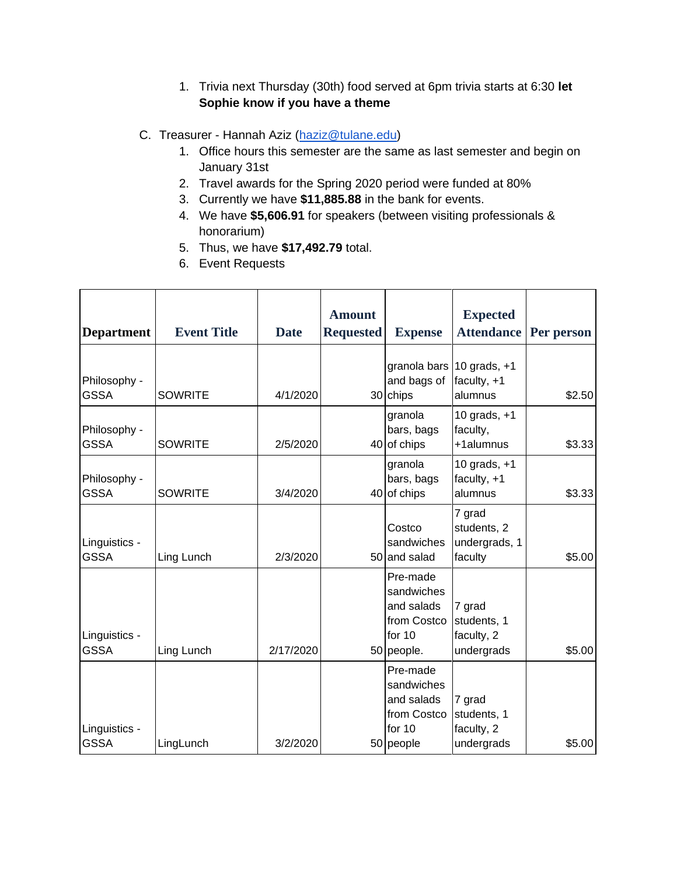1. Trivia next Thursday (30th) food served at 6pm trivia starts at 6:30 **let Sophie know if you have a theme**

#### C. Treasurer - Hannah Aziz [\(haziz@tulane.edu\)](mailto:haziz@tulane.edu)

- 1. Office hours this semester are the same as last semester and begin on January 31st
- 2. Travel awards for the Spring 2020 period were funded at 80%
- 3. Currently we have **\$11,885.88** in the bank for events.
- 4. We have **\$5,606.91** for speakers (between visiting professionals & honorarium)
- 5. Thus, we have **\$17,492.79** total.
- 6. Event Requests

| <b>Department</b>            | <b>Event Title</b> | <b>Date</b> | <b>Amount</b><br><b>Requested</b> | <b>Expense</b>                                                              | <b>Expected</b><br><b>Attendance</b>                  | Per person |
|------------------------------|--------------------|-------------|-----------------------------------|-----------------------------------------------------------------------------|-------------------------------------------------------|------------|
|                              |                    |             |                                   |                                                                             |                                                       |            |
| Philosophy -<br><b>GSSA</b>  | <b>SOWRITE</b>     | 4/1/2020    |                                   | and bags of<br>30 chips                                                     | granola bars 10 grads, +1<br>faculty, $+1$<br>alumnus | \$2.50     |
| Philosophy -<br><b>GSSA</b>  | <b>SOWRITE</b>     | 2/5/2020    |                                   | granola<br>bars, bags<br>40 of chips                                        | 10 grads, $+1$<br>faculty,<br>+1alumnus               | \$3.33     |
| Philosophy -<br><b>GSSA</b>  | <b>SOWRITE</b>     | 3/4/2020    |                                   | granola<br>bars, bags<br>40 of chips                                        | 10 grads, $+1$<br>faculty, $+1$<br>alumnus            | \$3.33     |
| Linguistics -<br><b>GSSA</b> | Ling Lunch         | 2/3/2020    |                                   | Costco<br>sandwiches<br>50 and salad                                        | 7 grad<br>students, 2<br>undergrads, 1<br>faculty     | \$5.00     |
| Linguistics -<br><b>GSSA</b> | Ling Lunch         | 2/17/2020   |                                   | Pre-made<br>sandwiches<br>and salads<br>from Costco<br>for 10<br>50 people. | 7 grad<br>students, 1<br>faculty, 2<br>undergrads     | \$5.00     |
| Linguistics -<br><b>GSSA</b> | LingLunch          | 3/2/2020    |                                   | Pre-made<br>sandwiches<br>and salads<br>from Costco<br>for 10<br>50 people  | 7 grad<br>students, 1<br>faculty, 2<br>undergrads     | \$5.00     |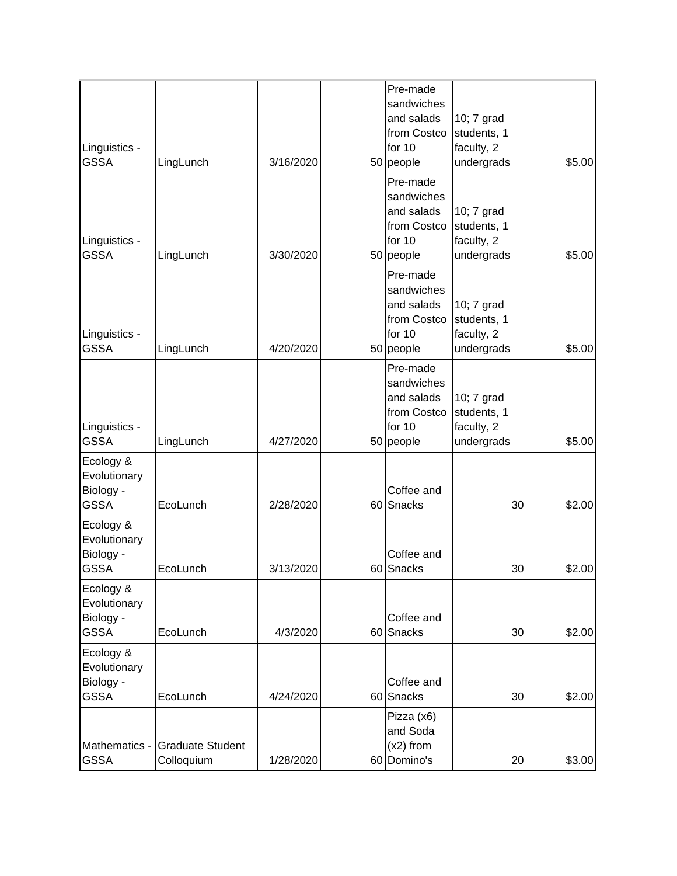| Linguistics -<br><b>GSSA</b>                          | LingLunch                             | 3/16/2020 |    | Pre-made<br>sandwiches<br>and salads<br>from Costco<br>for 10<br>50 people | 10; 7 grad<br>students, 1<br>faculty, 2<br>undergrads | \$5.00 |
|-------------------------------------------------------|---------------------------------------|-----------|----|----------------------------------------------------------------------------|-------------------------------------------------------|--------|
| Linguistics -<br><b>GSSA</b>                          | LingLunch                             | 3/30/2020 |    | Pre-made<br>sandwiches<br>and salads<br>from Costco<br>for 10<br>50 people | 10; 7 grad<br>students, 1<br>faculty, 2<br>undergrads | \$5.00 |
| Linguistics -<br><b>GSSA</b>                          | LingLunch                             | 4/20/2020 |    | Pre-made<br>sandwiches<br>and salads<br>from Costco<br>for 10<br>50 people | 10; 7 grad<br>students, 1<br>faculty, 2<br>undergrads | \$5.00 |
| Linguistics -<br><b>GSSA</b>                          | LingLunch                             | 4/27/2020 |    | Pre-made<br>sandwiches<br>and salads<br>from Costco<br>for 10<br>50 people | 10; 7 grad<br>students, 1<br>faculty, 2<br>undergrads | \$5.00 |
| Ecology &<br>Evolutionary<br>Biology -<br><b>GSSA</b> | EcoLunch                              | 2/28/2020 | 60 | Coffee and<br>Snacks                                                       | 30                                                    | \$2.00 |
| Ecology &<br>Evolutionary<br>Biology -<br><b>GSSA</b> | EcoLunch                              | 3/13/2020 |    | Coffee and<br>60 Snacks                                                    | 30                                                    | \$2.00 |
| Ecology &<br>Evolutionary<br>Biology -<br><b>GSSA</b> | EcoLunch                              | 4/3/2020  |    | Coffee and<br>60 Snacks                                                    | 30                                                    | \$2.00 |
| Ecology &<br>Evolutionary<br>Biology -<br><b>GSSA</b> | EcoLunch                              | 4/24/2020 |    | Coffee and<br>60 Snacks                                                    | 30                                                    | \$2.00 |
| Mathematics -<br><b>GSSA</b>                          | <b>Graduate Student</b><br>Colloquium | 1/28/2020 | 60 | Pizza (x6)<br>and Soda<br>$(x2)$ from<br>Domino's                          | 20                                                    | \$3.00 |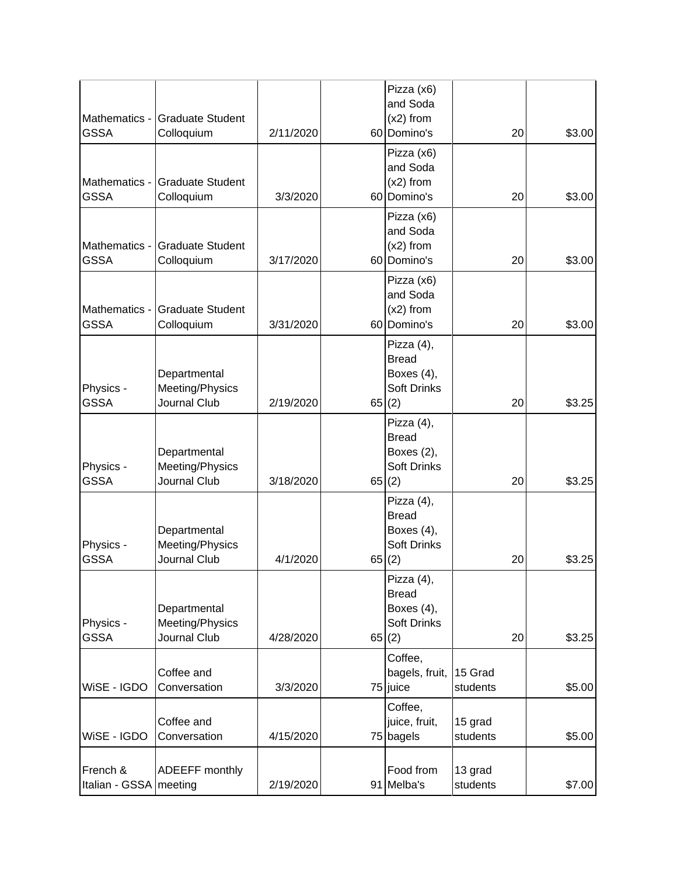|                              |                                 |           |       | Pizza (x6)                       |                     |    |        |
|------------------------------|---------------------------------|-----------|-------|----------------------------------|---------------------|----|--------|
| Mathematics -                | <b>Graduate Student</b>         |           |       | and Soda<br>$(x2)$ from          |                     |    |        |
| <b>GSSA</b>                  | Colloquium                      | 2/11/2020 |       | 60 Domino's                      |                     | 20 | \$3.00 |
|                              |                                 |           |       | Pizza (x6)                       |                     |    |        |
|                              |                                 |           |       | and Soda                         |                     |    |        |
| Mathematics -                | <b>Graduate Student</b>         |           |       | $(x2)$ from                      |                     |    |        |
| <b>GSSA</b>                  | Colloquium                      | 3/3/2020  |       | 60 Domino's                      |                     | 20 | \$3.00 |
|                              |                                 |           |       | Pizza (x6)                       |                     |    |        |
|                              | <b>Graduate Student</b>         |           |       | and Soda                         |                     |    |        |
| Mathematics -<br><b>GSSA</b> | Colloquium                      | 3/17/2020 |       | $(x2)$ from<br>60 Domino's       |                     | 20 | \$3.00 |
|                              |                                 |           |       |                                  |                     |    |        |
|                              |                                 |           |       | Pizza (x6)<br>and Soda           |                     |    |        |
| Mathematics -                | <b>Graduate Student</b>         |           |       | $(x2)$ from                      |                     |    |        |
| <b>GSSA</b>                  | Colloquium                      | 3/31/2020 |       | 60 Domino's                      |                     | 20 | \$3.00 |
|                              |                                 |           |       | Pizza (4),                       |                     |    |        |
|                              |                                 |           |       | <b>Bread</b>                     |                     |    |        |
|                              | Departmental                    |           |       | Boxes (4),                       |                     |    |        |
| Physics -                    | Meeting/Physics                 |           |       | <b>Soft Drinks</b>               |                     |    |        |
| <b>GSSA</b>                  | Journal Club                    | 2/19/2020 | 65(2) |                                  |                     | 20 | \$3.25 |
|                              |                                 |           |       | Pizza (4),                       |                     |    |        |
|                              |                                 |           |       | <b>Bread</b>                     |                     |    |        |
| Physics -                    | Departmental<br>Meeting/Physics |           |       | Boxes (2),<br><b>Soft Drinks</b> |                     |    |        |
| <b>GSSA</b>                  | Journal Club                    | 3/18/2020 | 65(2) |                                  |                     | 20 | \$3.25 |
|                              |                                 |           |       | Pizza (4),                       |                     |    |        |
|                              |                                 |           |       | <b>Bread</b>                     |                     |    |        |
|                              | Departmental                    |           |       | Boxes (4),                       |                     |    |        |
| Physics -                    | Meeting/Physics                 |           |       | <b>Soft Drinks</b>               |                     |    |        |
| <b>GSSA</b>                  | Journal Club                    | 4/1/2020  | 65(2) |                                  |                     | 20 | \$3.25 |
|                              |                                 |           |       | Pizza (4),                       |                     |    |        |
|                              |                                 |           |       | <b>Bread</b>                     |                     |    |        |
|                              | Departmental                    |           |       | Boxes (4),                       |                     |    |        |
| Physics -                    | Meeting/Physics                 |           |       | Soft Drinks                      |                     |    |        |
| <b>GSSA</b>                  | Journal Club                    | 4/28/2020 | 65(2) |                                  |                     | 20 | \$3.25 |
|                              |                                 |           |       | Coffee,                          |                     |    |        |
| WiSE - IGDO                  | Coffee and<br>Conversation      | 3/3/2020  |       | bagels, fruit,<br>75 juice       | 15 Grad<br>students |    | \$5.00 |
|                              |                                 |           |       | Coffee,                          |                     |    |        |
|                              | Coffee and                      |           |       | juice, fruit,                    | 15 grad             |    |        |
| WiSE - IGDO                  | Conversation                    | 4/15/2020 |       | 75 bagels                        | students            |    | \$5.00 |
|                              |                                 |           |       |                                  |                     |    |        |
| French &                     | ADEEFF monthly                  |           |       | Food from                        | 13 grad             |    |        |
| Italian - GSSA   meeting     |                                 | 2/19/2020 |       | 91 Melba's                       | students            |    | \$7.00 |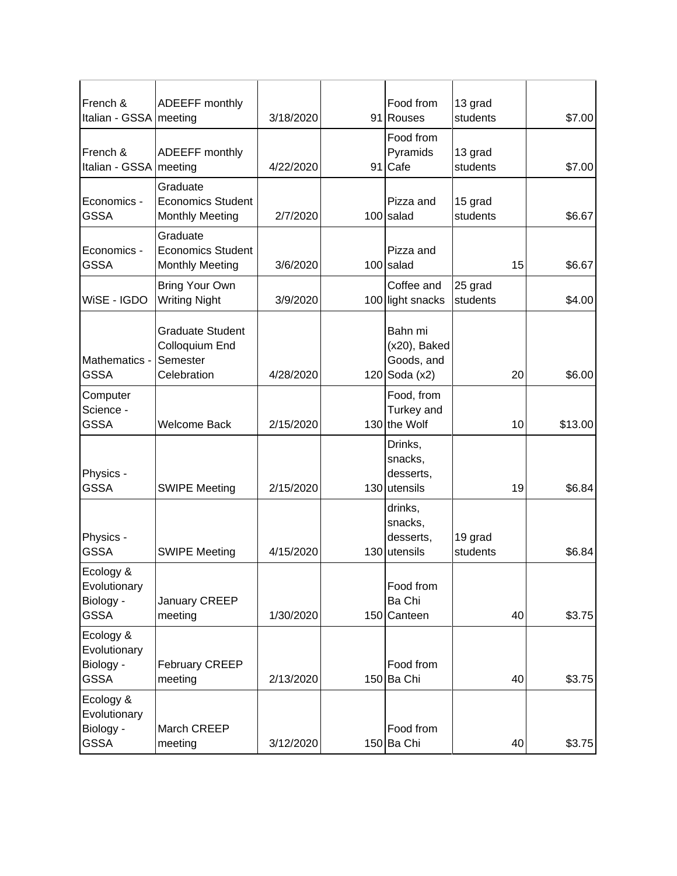| French &<br>Italian - GSSA   meeting                  | ADEEFF monthly                                                       | 3/18/2020 | Food from<br>91 Rouses                                 | 13 grad<br>students |    | \$7.00  |
|-------------------------------------------------------|----------------------------------------------------------------------|-----------|--------------------------------------------------------|---------------------|----|---------|
| French &<br>Italian - GSSA                            | ADEEFF monthly<br>meeting                                            | 4/22/2020 | Food from<br>Pyramids<br>91 Cafe                       | 13 grad<br>students |    | \$7.00  |
| Economics -<br><b>GSSA</b>                            | Graduate<br><b>Economics Student</b><br><b>Monthly Meeting</b>       | 2/7/2020  | Pizza and<br>100 salad                                 | 15 grad<br>students |    | \$6.67  |
| Economics -<br><b>GSSA</b>                            | Graduate<br><b>Economics Student</b><br><b>Monthly Meeting</b>       | 3/6/2020  | Pizza and<br>$100$ salad                               |                     | 15 | \$6.67  |
| WiSE - IGDO                                           | <b>Bring Your Own</b><br><b>Writing Night</b>                        | 3/9/2020  | Coffee and<br>100 light snacks                         | 25 grad<br>students |    | \$4.00  |
| Mathematics -<br><b>GSSA</b>                          | <b>Graduate Student</b><br>Colloquium End<br>Semester<br>Celebration | 4/28/2020 | Bahn mi<br>(x20), Baked<br>Goods, and<br>120 Soda (x2) |                     | 20 | \$6.00  |
| Computer<br>Science -<br><b>GSSA</b>                  | <b>Welcome Back</b>                                                  | 2/15/2020 | Food, from<br>Turkey and<br>130 the Wolf               |                     | 10 | \$13.00 |
| Physics -<br><b>GSSA</b>                              | <b>SWIPE Meeting</b>                                                 | 2/15/2020 | Drinks,<br>snacks,<br>desserts,<br>$130$ utensils      |                     | 19 | \$6.84  |
| Physics -<br><b>GSSA</b>                              | <b>SWIPE Meeting</b>                                                 | 4/15/2020 | drinks,<br>snacks,<br>desserts,<br>$130$ utensils      | 19 grad<br>students |    | \$6.84  |
| Ecology &<br>Evolutionary<br>Biology -<br><b>GSSA</b> | January CREEP<br>meeting                                             | 1/30/2020 | Food from<br>Ba Chi<br>150 Canteen                     |                     | 40 | \$3.75  |
| Ecology &<br>Evolutionary<br>Biology -<br><b>GSSA</b> | <b>February CREEP</b><br>meeting                                     | 2/13/2020 | Food from<br>150 Ba Chi                                |                     | 40 | \$3.75  |
| Ecology &<br>Evolutionary<br>Biology -<br><b>GSSA</b> | March CREEP<br>meeting                                               | 3/12/2020 | Food from<br>150 Ba Chi                                |                     | 40 | \$3.75  |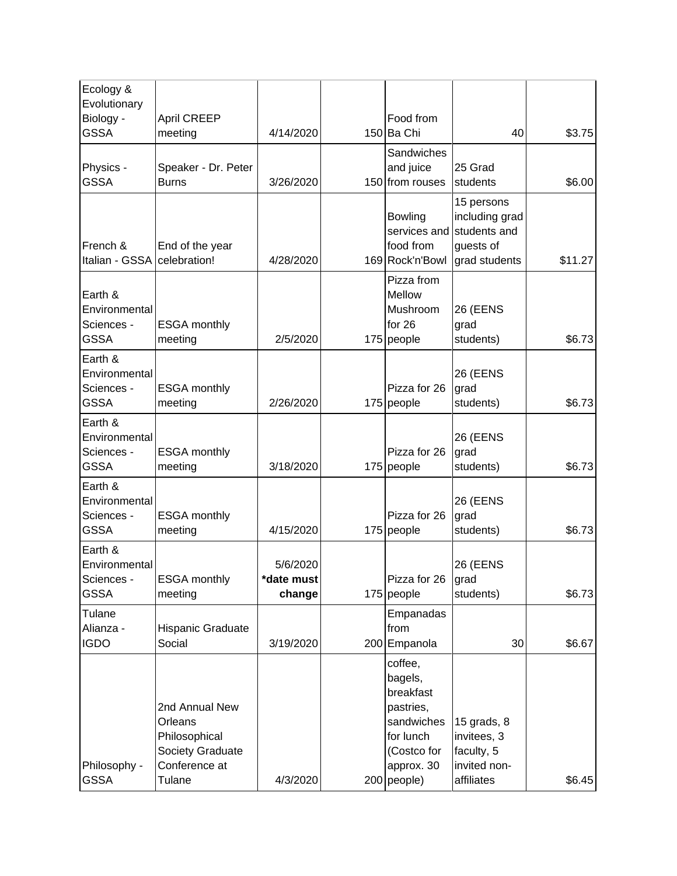| Ecology &<br>Evolutionary<br>Biology -                | <b>April CREEP</b>                                                                        |                                  | Food from                                                                                                           |                                                                            |         |
|-------------------------------------------------------|-------------------------------------------------------------------------------------------|----------------------------------|---------------------------------------------------------------------------------------------------------------------|----------------------------------------------------------------------------|---------|
| <b>GSSA</b>                                           | meeting                                                                                   | 4/14/2020                        | 150 Ba Chi                                                                                                          | 40                                                                         | \$3.75  |
| Physics -<br><b>GSSA</b>                              | Speaker - Dr. Peter<br><b>Burns</b>                                                       | 3/26/2020                        | Sandwiches<br>and juice<br>150 from rouses                                                                          | 25 Grad<br>students                                                        | \$6.00  |
| French &<br>Italian - GSSA                            | End of the year<br>celebration!                                                           | 4/28/2020                        | <b>Bowling</b><br>services and<br>food from<br>169 Rock'n'Bowl                                                      | 15 persons<br>including grad<br>students and<br>guests of<br>grad students | \$11.27 |
| Earth &<br>Environmental<br>Sciences -<br><b>GSSA</b> | <b>ESGA</b> monthly<br>meeting                                                            | 2/5/2020                         | Pizza from<br>Mellow<br>Mushroom<br>for $26$<br>175 people                                                          | <b>26 (EENS</b><br>grad<br>students)                                       | \$6.73  |
| Earth &<br>Environmental<br>Sciences -<br><b>GSSA</b> | <b>ESGA</b> monthly<br>meeting                                                            | 2/26/2020                        | Pizza for 26<br>$175$ people                                                                                        | <b>26 (EENS</b><br>grad<br>students)                                       | \$6.73  |
| Earth &<br>Environmental<br>Sciences -<br><b>GSSA</b> | <b>ESGA</b> monthly<br>meeting                                                            | 3/18/2020                        | Pizza for 26<br>175 people                                                                                          | <b>26 (EENS</b><br>grad<br>students)                                       | \$6.73  |
| Earth &<br>Environmental<br>Sciences -<br><b>GSSA</b> | <b>ESGA monthly</b><br>meeting                                                            | 4/15/2020                        | Pizza for 26<br>175 people                                                                                          | <b>26 (EENS</b><br>grad<br>students)                                       | \$6.73  |
| Earth &<br>Environmental<br>Sciences -<br><b>GSSA</b> | <b>ESGA monthly</b><br>meeting                                                            | 5/6/2020<br>*date must<br>change | Pizza for 26<br>175 people                                                                                          | 26 (EENS<br>grad<br>students)                                              | \$6.73  |
| Tulane<br>Alianza -<br><b>IGDO</b>                    | Hispanic Graduate<br>Social                                                               | 3/19/2020                        | Empanadas<br>from<br>200 Empanola                                                                                   | 30                                                                         | \$6.67  |
| Philosophy -<br><b>GSSA</b>                           | 2nd Annual New<br>Orleans<br>Philosophical<br>Society Graduate<br>Conference at<br>Tulane | 4/3/2020                         | coffee,<br>bagels,<br>breakfast<br>pastries,<br>sandwiches<br>for lunch<br>(Costco for<br>approx. 30<br>200 people) | 15 grads, $8$<br>invitees, 3<br>faculty, 5<br>invited non-<br>affiliates   | \$6.45  |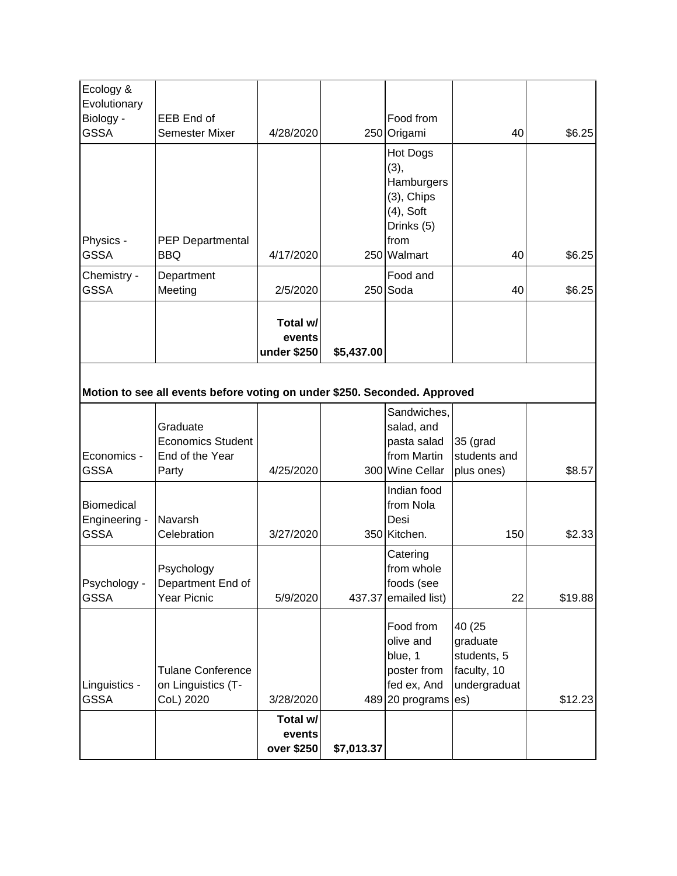| Ecology &<br>Evolutionary<br>Biology -<br><b>GSSA</b>                     | EEB End of<br><b>Semester Mixer</b>                              | 4/28/2020                         |            | Food from<br>250 Origami                                                                             | 40                                     | \$6.25 |  |  |  |
|---------------------------------------------------------------------------|------------------------------------------------------------------|-----------------------------------|------------|------------------------------------------------------------------------------------------------------|----------------------------------------|--------|--|--|--|
| Physics -<br><b>GSSA</b>                                                  | PEP Departmental<br><b>BBQ</b>                                   | 4/17/2020                         |            | Hot Dogs<br>(3),<br>Hamburgers<br>$(3)$ , Chips<br>$(4)$ , Soft<br>Drinks (5)<br>from<br>250 Walmart | 40                                     | \$6.25 |  |  |  |
|                                                                           |                                                                  |                                   |            |                                                                                                      |                                        |        |  |  |  |
| Chemistry -<br><b>GSSA</b>                                                | Department<br>Meeting                                            | 2/5/2020                          |            | Food and<br>$250$ Soda                                                                               | 40                                     | \$6.25 |  |  |  |
|                                                                           |                                                                  | Total w/<br>events<br>under \$250 | \$5,437.00 |                                                                                                      |                                        |        |  |  |  |
| Motion to see all events before voting on under \$250. Seconded. Approved |                                                                  |                                   |            |                                                                                                      |                                        |        |  |  |  |
| Economics -<br><b>GSSA</b>                                                | Graduate<br><b>Economics Student</b><br>End of the Year<br>Party | 4/25/2020                         |            | Sandwiches,<br>salad, and<br>pasta salad<br>from Martin<br>300 Wine Cellar                           | 35 (grad<br>students and<br>plus ones) | \$8.57 |  |  |  |
|                                                                           |                                                                  |                                   |            |                                                                                                      |                                        |        |  |  |  |

|                       |                                         | events<br>over \$250 | \$7,013.37 |                                            |                              |         |
|-----------------------|-----------------------------------------|----------------------|------------|--------------------------------------------|------------------------------|---------|
|                       |                                         | Total w/             |            |                                            |                              |         |
| GSSA                  | CoL) 2020                               | 3/28/2020            |            | 489 20 programs es)                        |                              | \$12.23 |
| Linguistics -         | Tulane Conference<br>on Linguistics (T- |                      |            | poster from<br>fed ex, And                 | faculty, 10<br>undergraduat  |         |
|                       |                                         |                      |            | blue, 1                                    | students, 5                  |         |
|                       |                                         |                      |            | olive and                                  | graduate                     |         |
|                       |                                         |                      |            | Food from                                  | 40 (25                       |         |
| GSSA                  | Year Picnic                             | 5/9/2020             |            | 437.37 emailed list)                       | 22                           | \$19.88 |
| Psychology -          | Department End of                       |                      |            | foods (see                                 |                              |         |
|                       | Psychology                              |                      |            | Catering<br>from whole                     |                              |         |
| Engineering -<br>GSSA | Navarsh<br>Celebration                  | 3/27/2020            |            | Desi<br>350 Kitchen.                       | 150                          | \$2.33  |
| <b>Biomedical</b>     |                                         |                      |            | Indian food<br>from Nola                   |                              |         |
| LUUINIUU<br>GSSA      | ווט טו נווט ויט מו<br>Party             | 4/25/2020            |            | $11$ U $11$ IVIQI $111$<br>300 Wine Cellar | oluuviilo ariu<br>plus ones) | \$8.57  |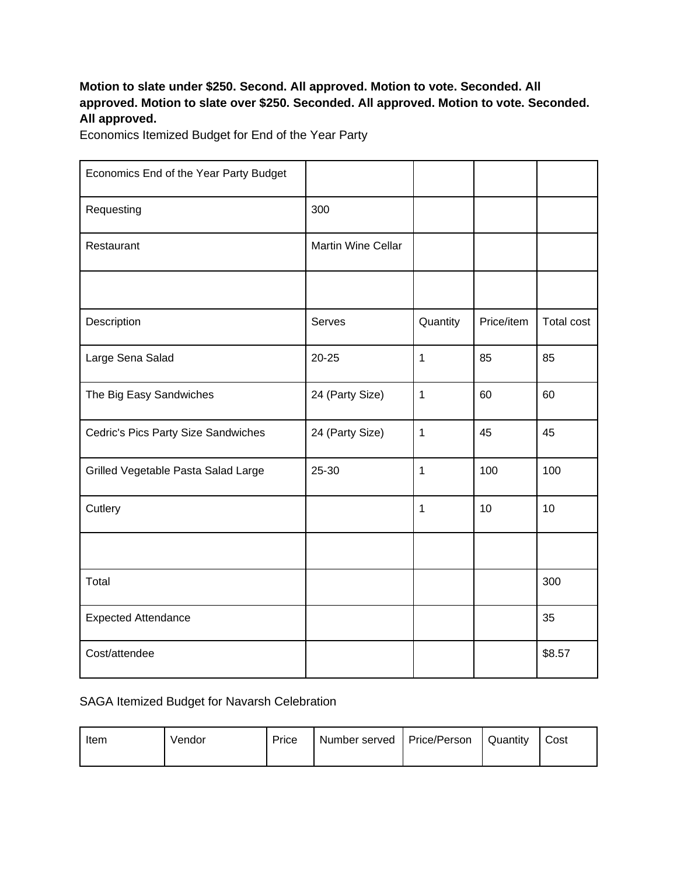### **Motion to slate under \$250. Second. All approved. Motion to vote. Seconded. All approved. Motion to slate over \$250. Seconded. All approved. Motion to vote. Seconded. All approved.**

Economics Itemized Budget for End of the Year Party

| Economics End of the Year Party Budget |                    |              |            |                   |
|----------------------------------------|--------------------|--------------|------------|-------------------|
| Requesting                             | 300                |              |            |                   |
| Restaurant                             | Martin Wine Cellar |              |            |                   |
|                                        |                    |              |            |                   |
| Description                            | Serves             | Quantity     | Price/item | <b>Total cost</b> |
| Large Sena Salad                       | $20 - 25$          | 1            | 85         | 85                |
| The Big Easy Sandwiches                | 24 (Party Size)    | $\mathbf 1$  | 60         | 60                |
| Cedric's Pics Party Size Sandwiches    | 24 (Party Size)    | $\mathbf{1}$ | 45         | 45                |
| Grilled Vegetable Pasta Salad Large    | 25-30              | $\mathbf{1}$ | 100        | 100               |
| Cutlery                                |                    | 1            | 10         | 10                |
|                                        |                    |              |            |                   |
| Total                                  |                    |              |            | 300               |
| <b>Expected Attendance</b>             |                    |              |            | 35                |
| Cost/attendee                          |                    |              |            | \$8.57            |

#### SAGA Itemized Budget for Navarsh Celebration

| Item | Vendor | Price | Number served   Price/Person |  | Quantity | Cost |
|------|--------|-------|------------------------------|--|----------|------|
|------|--------|-------|------------------------------|--|----------|------|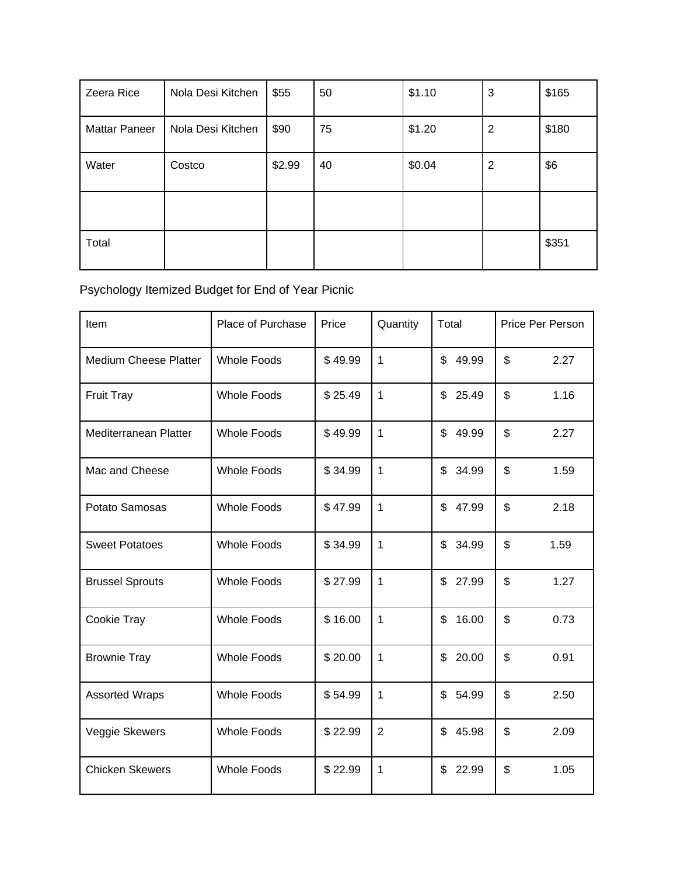| Zeera Rice           | Nola Desi Kitchen | \$55   | 50 | \$1.10 | 3              | \$165 |
|----------------------|-------------------|--------|----|--------|----------------|-------|
| <b>Mattar Paneer</b> | Nola Desi Kitchen | \$90   | 75 | \$1.20 | $\overline{2}$ | \$180 |
| Water                | Costco            | \$2.99 | 40 | \$0.04 | 2              | \$6   |
|                      |                   |        |    |        |                |       |
| Total                |                   |        |    |        |                | \$351 |

Psychology Itemized Budget for End of Year Picnic

| Item                         | Place of Purchase  | Price   | Quantity       | Total       | Price Per Person       |
|------------------------------|--------------------|---------|----------------|-------------|------------------------|
| <b>Medium Cheese Platter</b> | <b>Whole Foods</b> | \$49.99 | $\mathbf{1}$   | \$<br>49.99 | \$<br>2.27             |
| <b>Fruit Tray</b>            | <b>Whole Foods</b> | \$25.49 | 1              | \$<br>25.49 | \$<br>1.16             |
| Mediterranean Platter        | <b>Whole Foods</b> | \$49.99 | $\mathbf{1}$   | \$<br>49.99 | \$<br>2.27             |
| Mac and Cheese               | <b>Whole Foods</b> | \$34.99 | $\mathbf{1}$   | \$<br>34.99 | \$<br>1.59             |
| Potato Samosas               | <b>Whole Foods</b> | \$47.99 | 1              | \$<br>47.99 | \$<br>2.18             |
| <b>Sweet Potatoes</b>        | <b>Whole Foods</b> | \$34.99 | 1              | \$<br>34.99 | \$<br>1.59             |
| <b>Brussel Sprouts</b>       | <b>Whole Foods</b> | \$27.99 | $\mathbf{1}$   | 27.99<br>\$ | $\mathfrak{S}$<br>1.27 |
| Cookie Tray                  | <b>Whole Foods</b> | \$16.00 | $\mathbf{1}$   | 16.00<br>\$ | \$<br>0.73             |
| <b>Brownie Tray</b>          | <b>Whole Foods</b> | \$20.00 | $\mathbf{1}$   | \$<br>20.00 | \$<br>0.91             |
| <b>Assorted Wraps</b>        | <b>Whole Foods</b> | \$54.99 | $\mathbf{1}$   | \$<br>54.99 | \$<br>2.50             |
| Veggie Skewers               | <b>Whole Foods</b> | \$22.99 | $\overline{2}$ | \$<br>45.98 | \$<br>2.09             |
| <b>Chicken Skewers</b>       | <b>Whole Foods</b> | \$22.99 | $\mathbf{1}$   | \$<br>22.99 | \$<br>1.05             |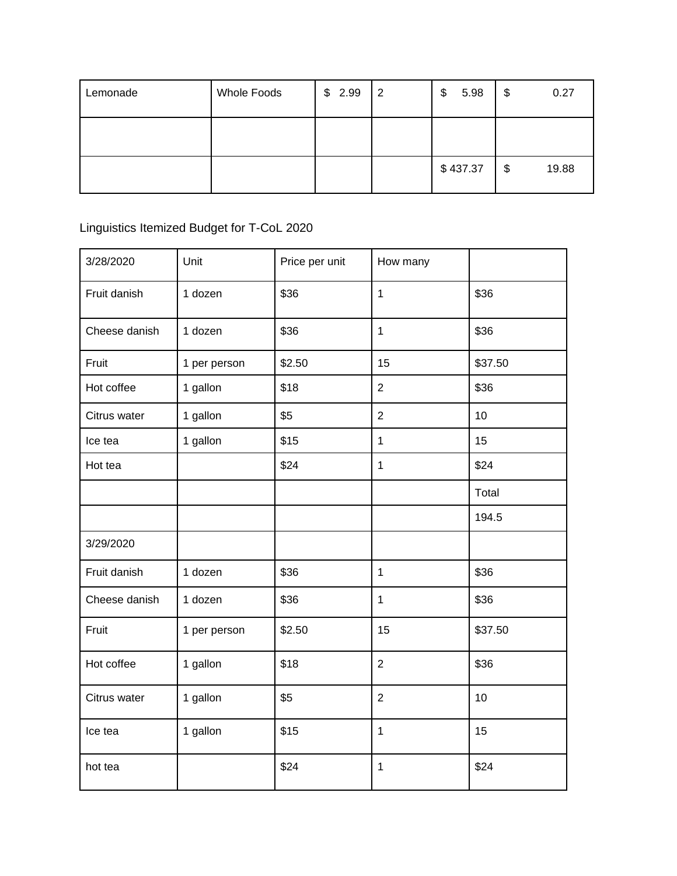| Lemonade | <b>Whole Foods</b> | \$2.99 | $\overline{2}$ | 5.98<br>\$ | \$<br>0.27  |
|----------|--------------------|--------|----------------|------------|-------------|
|          |                    |        |                |            |             |
|          |                    |        |                | \$437.37   | \$<br>19.88 |

# Linguistics Itemized Budget for T-CoL 2020

| 3/28/2020     | Unit         | Price per unit | How many             |         |
|---------------|--------------|----------------|----------------------|---------|
| Fruit danish  | 1 dozen      | \$36           | $\mathbf{1}$         | \$36    |
| Cheese danish | 1 dozen      | \$36           | \$36<br>$\mathbf{1}$ |         |
| Fruit         | 1 per person | \$2.50         | 15                   | \$37.50 |
| Hot coffee    | 1 gallon     | \$18           | $\overline{c}$       | \$36    |
| Citrus water  | 1 gallon     | \$5            | $\overline{2}$       | 10      |
| Ice tea       | 1 gallon     | \$15           | $\mathbf{1}$         | 15      |
| Hot tea       |              | \$24           | $\mathbf{1}$         | \$24    |
|               |              |                |                      | Total   |
|               |              |                |                      | 194.5   |
| 3/29/2020     |              |                |                      |         |
| Fruit danish  | 1 dozen      | \$36           | $\mathbf{1}$         | \$36    |
| Cheese danish | 1 dozen      | \$36           | $\mathbf{1}$         | \$36    |
| Fruit         | 1 per person | \$2.50         | 15                   | \$37.50 |
| Hot coffee    | 1 gallon     | \$18           | $\overline{2}$       | \$36    |
| Citrus water  | 1 gallon     | \$5            | 10<br>$\overline{2}$ |         |
| Ice tea       | 1 gallon     | \$15           | $\mathbf{1}$         | 15      |
| hot tea       |              | \$24           | $\mathbf 1$          | \$24    |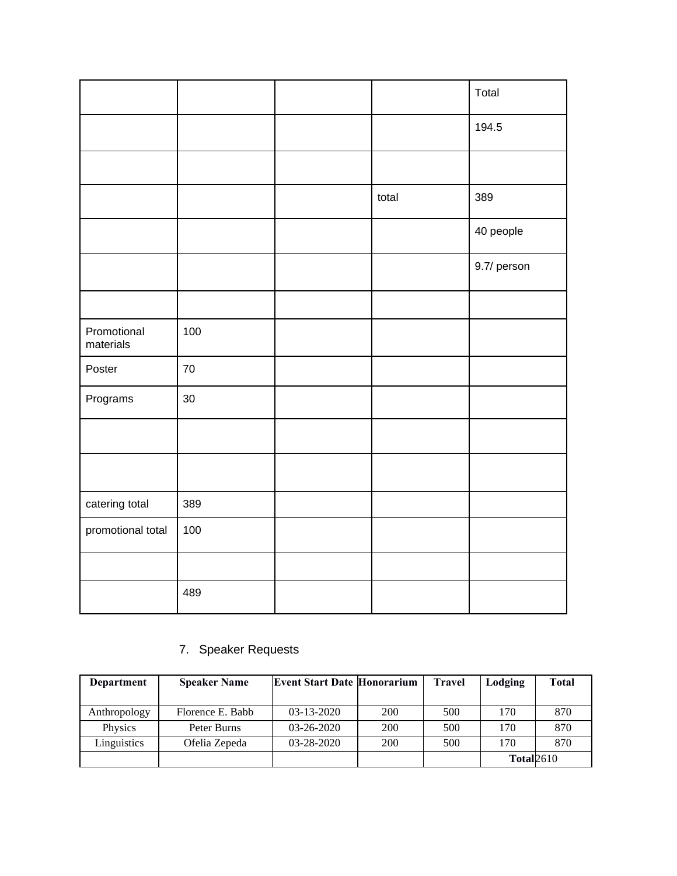|                          |     |       | Total       |
|--------------------------|-----|-------|-------------|
|                          |     |       | 194.5       |
|                          |     |       |             |
|                          |     | total | 389         |
|                          |     |       | 40 people   |
|                          |     |       | 9.7/ person |
|                          |     |       |             |
| Promotional<br>materials | 100 |       |             |
| Poster                   | 70  |       |             |
| Programs                 | 30  |       |             |
|                          |     |       |             |
|                          |     |       |             |
| catering total           | 389 |       |             |
| promotional total        | 100 |       |             |
|                          |     |       |             |
|                          | 489 |       |             |

## 7. Speaker Requests

| Department   | <b>Speaker Name</b> | <b>Event Start Date Honorarium</b> |            | <b>Travel</b> | Lodging           | <b>Total</b> |
|--------------|---------------------|------------------------------------|------------|---------------|-------------------|--------------|
|              |                     |                                    |            |               |                   |              |
| Anthropology | Florence E. Babb    | $03-13-2020$                       | <b>200</b> | 500           | 170               | 870          |
| Physics      | Peter Burns         | $03 - 26 - 2020$                   | 200        | 500           | 170               | 870          |
| Linguistics  | Ofelia Zepeda       | 03-28-2020                         | 200        | 500           | 170               | 870          |
|              |                     |                                    |            |               | <b>Total</b> 2610 |              |